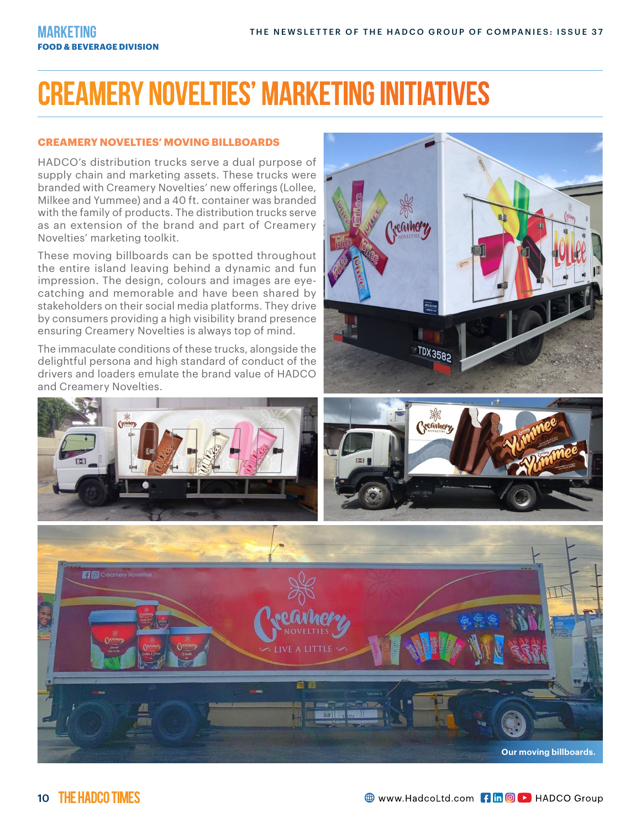## **Creamery Novelties' MARKETING INITIATIVES**

#### **CREAMERY NOVELTIES' MOVING BILLBOARDS**

HADCO's distribution trucks serve a dual purpose of supply chain and marketing assets. These trucks were branded with Creamery Novelties' new offerings (Lollee, Milkee and Yummee) and a 40 ft. container was branded with the family of products. The distribution trucks serve as an extension of the brand and part of Creamery Novelties' marketing toolkit.

These moving billboards can be spotted throughout the entire island leaving behind a dynamic and fun impression. The design, colours and images are eyecatching and memorable and have been shared by stakeholders on their social media platforms. They drive by consumers providing a high visibility brand presence ensuring Creamery Novelties is always top of mind.

The immaculate conditions of these trucks, alongside the delightful persona and high standard of conduct of the drivers and loaders emulate the brand value of HADCO and Creamery Novelties.